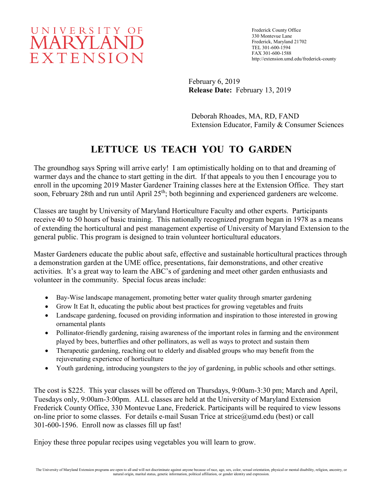# UNIVERSITY OF MARYLAND EXTENSION

Frederick County Office 330 Montevue Lane Frederick, Maryland 21702 TEL 301-600-1594 FAX 301-600-1588 http://extension.umd.edu/frederick-county

February 6, 2019 **Release Date:** February 13, 2019

Deborah Rhoades, MA, RD, FAND Extension Educator, Family & Consumer Sciences

## **LETTUCE US TEACH YOU TO GARDEN**

The groundhog says Spring will arrive early! I am optimistically holding on to that and dreaming of warmer days and the chance to start getting in the dirt. If that appeals to you then I encourage you to enroll in the upcoming 2019 Master Gardener Training classes here at the Extension Office. They start soon, February 28th and run until April 25<sup>th</sup>; both beginning and experienced gardeners are welcome.

Classes are taught by University of Maryland Horticulture Faculty and other experts. Participants receive 40 to 50 hours of basic training. This nationally recognized program began in 1978 as a means of extending the horticultural and pest management expertise of University of Maryland Extension to the general public. This program is designed to train volunteer horticultural educators.

Master Gardeners educate the public about safe, effective and sustainable horticultural practices through a demonstration garden at the UME office, presentations, fair demonstrations, and other creative activities. It's a great way to learn the ABC's of gardening and meet other garden enthusiasts and volunteer in the community. Special focus areas include:

- Bay-Wise landscape management, promoting better water quality through smarter gardening
- Grow It Eat It, educating the public about best practices for growing vegetables and fruits
- Landscape gardening, focused on providing information and inspiration to those interested in growing ornamental plants
- Pollinator-friendly gardening, raising awareness of the important roles in farming and the environment played by bees, butterflies and other pollinators, as well as ways to protect and sustain them
- Therapeutic gardening, reaching out to elderly and disabled groups who may benefit from the rejuvenating experience of horticulture
- Youth gardening, introducing youngsters to the joy of gardening, in public schools and other settings.

The cost is \$225. This year classes will be offered on Thursdays, 9:00am-3:30 pm; March and April, Tuesdays only, 9:00am-3:00pm. ALL classes are held at the University of Maryland Extension Frederick County Office, 330 Montevue Lane, Frederick. Participants will be required to view lessons on-line prior to some classes. For details e-mail Susan Trice at strice@umd.edu (best) or call 301-600-1596. Enroll now as classes fill up fast!

Enjoy these three popular recipes using vegetables you will learn to grow.